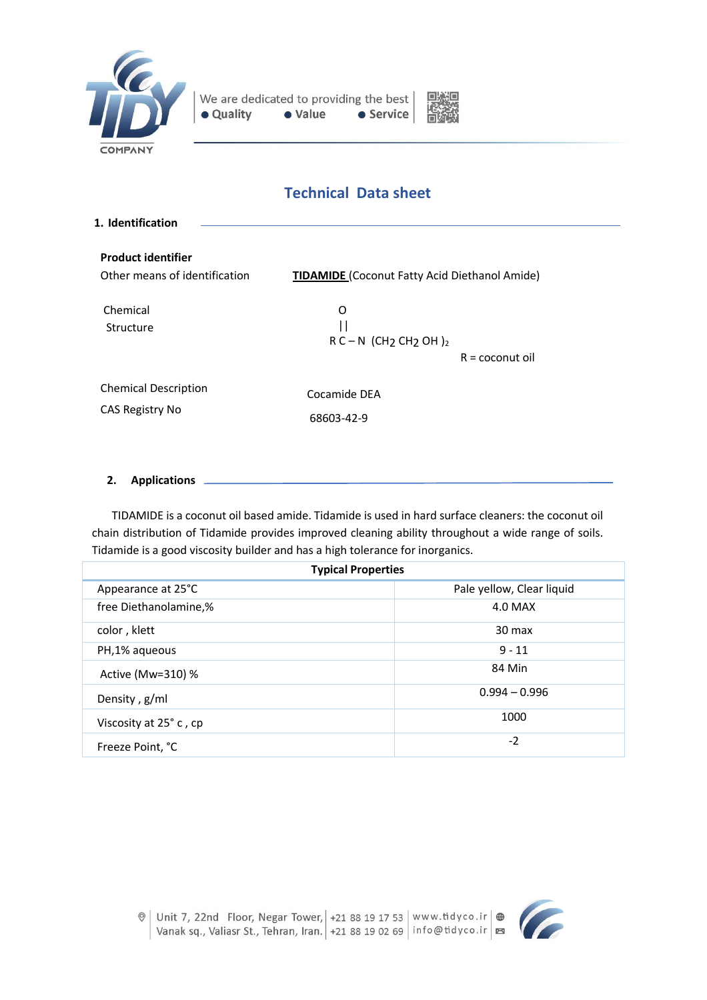



# **Technical Data sheet**

| 1. Identification                                          |                                                                                                       |  |
|------------------------------------------------------------|-------------------------------------------------------------------------------------------------------|--|
| <b>Product identifier</b><br>Other means of identification | <b>TIDAMIDE</b> (Coconut Fatty Acid Diethanol Amide)                                                  |  |
| Chemical<br>Structure                                      | O<br>$\mathsf{I}$<br>$R$ C – N (CH <sub>2</sub> CH <sub>2</sub> OH) <sub>2</sub><br>$R =$ coconut oil |  |
| <b>Chemical Description</b><br>CAS Registry No             | Cocamide DEA<br>68603-42-9                                                                            |  |

# **2. Applications**

 TIDAMIDE is a coconut oil based amide. Tidamide is used in hard surface cleaners: the coconut oil chain distribution of Tidamide provides improved cleaning ability throughout a wide range of soils. Tidamide is a good viscosity builder and has a high tolerance for inorganics.

| <b>Typical Properties</b> |                           |  |
|---------------------------|---------------------------|--|
| Appearance at 25°C        | Pale yellow, Clear liquid |  |
| free Diethanolamine,%     | 4.0 MAX                   |  |
| color, klett              | $30 \text{ max}$          |  |
| PH,1% aqueous             | $9 - 11$                  |  |
| Active (Mw=310) %         | 84 Min                    |  |
| Density, g/ml             | $0.994 - 0.996$           |  |
| Viscosity at 25° c, cp    | 1000                      |  |
| Freeze Point, °C          | $-2$                      |  |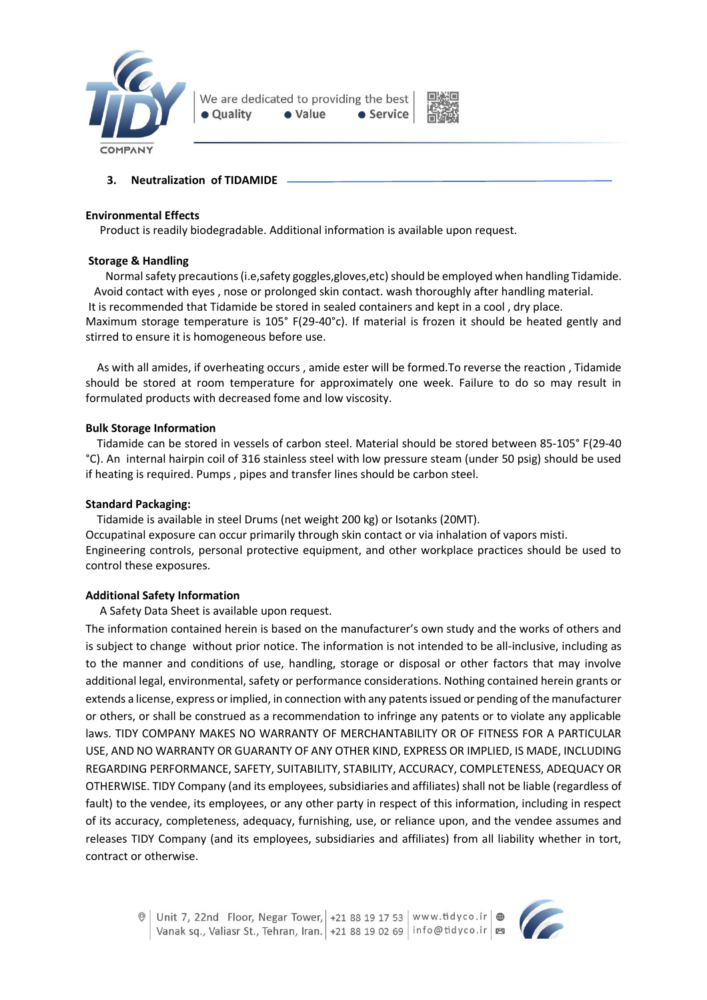



## **3. Neutralization of TIDAMIDE**

#### **Environmental Effects**

Product is readily biodegradable. Additional information is available upon request.

## **Storage & Handling**

Normal safety precautions (i.e,safety goggles,gloves,etc) should be employed when handling Tidamide. Avoid contact with eyes , nose or prolonged skin contact. wash thoroughly after handling material. It is recommended that Tidamide be stored in sealed containers and kept in a cool , dry place. Maximum storage temperature is 105° F(29-40°c). If material is frozen it should be heated gently and stirred to ensure it is homogeneous before use.

 As with all amides, if overheating occurs , amide ester will be formed.To reverse the reaction , Tidamide should be stored at room temperature for approximately one week. Failure to do so may result in formulated products with decreased fome and low viscosity.

## **Bulk Storage Information**

 Tidamide can be stored in vessels of carbon steel. Material should be stored between 85-105° F(29-40 °C). An internal hairpin coil of 316 stainless steel with low pressure steam (under 50 psig) should be used if heating is required. Pumps , pipes and transfer lines should be carbon steel.

#### **Standard Packaging:**

Tidamide is available in steel Drums (net weight 200 kg) or Isotanks (20MT).

Occupatinal exposure can occur primarily through skin contact or via inhalation of vapors misti. Engineering controIs, personal protective equipment, and other workplace practices should be used to control these exposures.

## **Additional Safety Information**

A Safety Data Sheet is available upon request.

The information contained herein is based on the manufacturer's own study and the works of others and is subject to change without prior notice. The information is not intended to be all-inclusive, including as to the manner and conditions of use, handling, storage or disposal or other factors that may involve additional legal, environmental, safety or performance considerations. Nothing contained herein grants or extends a license, express or implied, in connection with any patents issued or pending of the manufacturer or others, or shall be construed as a recommendation to infringe any patents or to violate any applicable laws. TIDY COMPANY MAKES NO WARRANTY OF MERCHANTABILITY OR OF FITNESS FOR A PARTICULAR USE, AND NO WARRANTY OR GUARANTY OF ANY OTHER KIND, EXPRESS OR IMPLIED, IS MADE, INCLUDING REGARDING PERFORMANCE, SAFETY, SUITABILITY, STABILITY, ACCURACY, COMPLETENESS, ADEQUACY OR OTHERWISE. TIDY Company (and its employees, subsidiaries and affiliates) shall not be liable (regardless of fault) to the vendee, its employees, or any other party in respect of this information, including in respect of its accuracy, completeness, adequacy, furnishing, use, or reliance upon, and the vendee assumes and releases TIDY Company (and its employees, subsidiaries and affiliates) from all liability whether in tort, contract or otherwise.